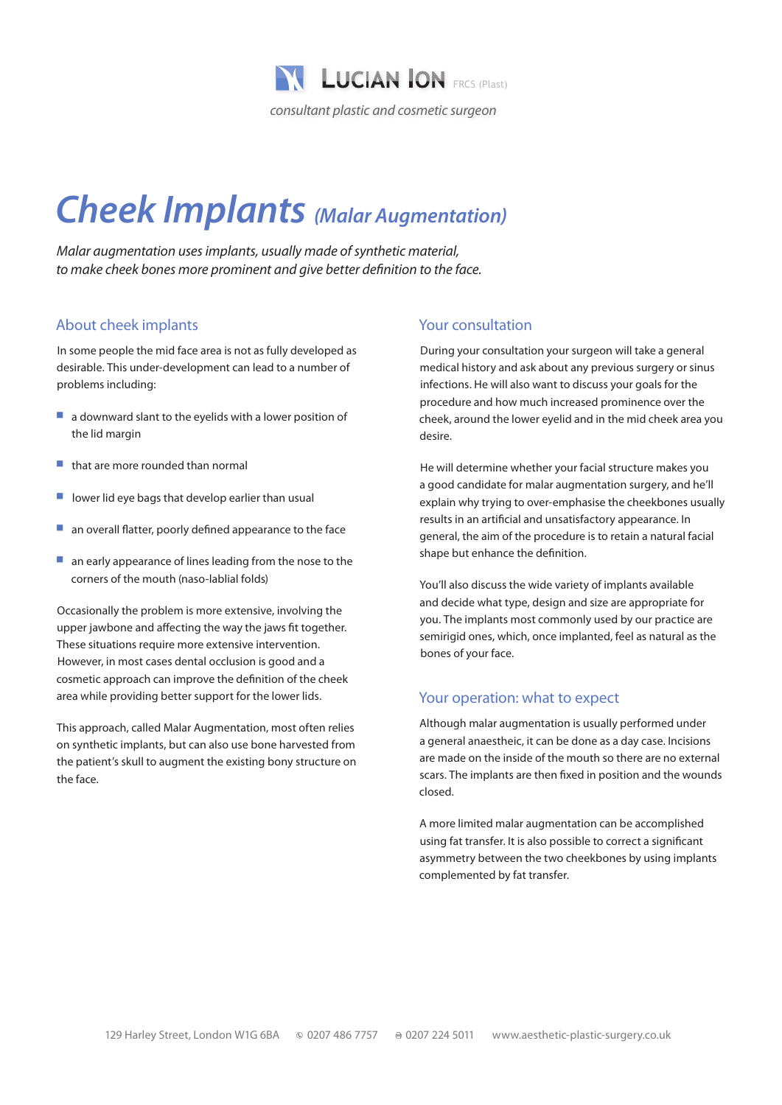

# *Cheek Implants (Malar Augmentation)*

*Malar augmentation uses implants, usually made of synthetic material, to make cheek bones more prominent and give better definition to the face.*

# About cheek implants

In some people the mid face area is not as fully developed as desirable. This under-development can lead to a number of problems including:

- $\blacksquare$  a downward slant to the eyelids with a lower position of the lid margin
- that are more rounded than normal
- lower lid eye bags that develop earlier than usual
- $\blacksquare$  an overall flatter, poorly defined appearance to the face
- $\blacksquare$  an early appearance of lines leading from the nose to the corners of the mouth (naso-lablial folds)

Occasionally the problem is more extensive, involving the upper jawbone and affecting the way the jaws fit together. These situations require more extensive intervention. However, in most cases dental occlusion is good and a cosmetic approach can improve the definition of the cheek area while providing better support for the lower lids.

This approach, called Malar Augmentation, most often relies on synthetic implants, but can also use bone harvested from the patient's skull to augment the existing bony structure on the face.

#### Your consultation

During your consultation your surgeon will take a general medical history and ask about any previous surgery or sinus infections. He will also want to discuss your goals for the procedure and how much increased prominence over the cheek, around the lower eyelid and in the mid cheek area you desire.

He will determine whether your facial structure makes you a good candidate for malar augmentation surgery, and he'll explain why trying to over-emphasise the cheekbones usually results in an artificial and unsatisfactory appearance. In general, the aim of the procedure is to retain a natural facial shape but enhance the definition.

You'll also discuss the wide variety of implants available and decide what type, design and size are appropriate for you. The implants most commonly used by our practice are semirigid ones, which, once implanted, feel as natural as the bones of your face.

#### Your operation: what to expect

Although malar augmentation is usually performed under a general anaestheic, it can be done as a day case. Incisions are made on the inside of the mouth so there are no external scars. The implants are then fixed in position and the wounds closed.

A more limited malar augmentation can be accomplished using fat transfer. It is also possible to correct a significant asymmetry between the two cheekbones by using implants complemented by fat transfer.